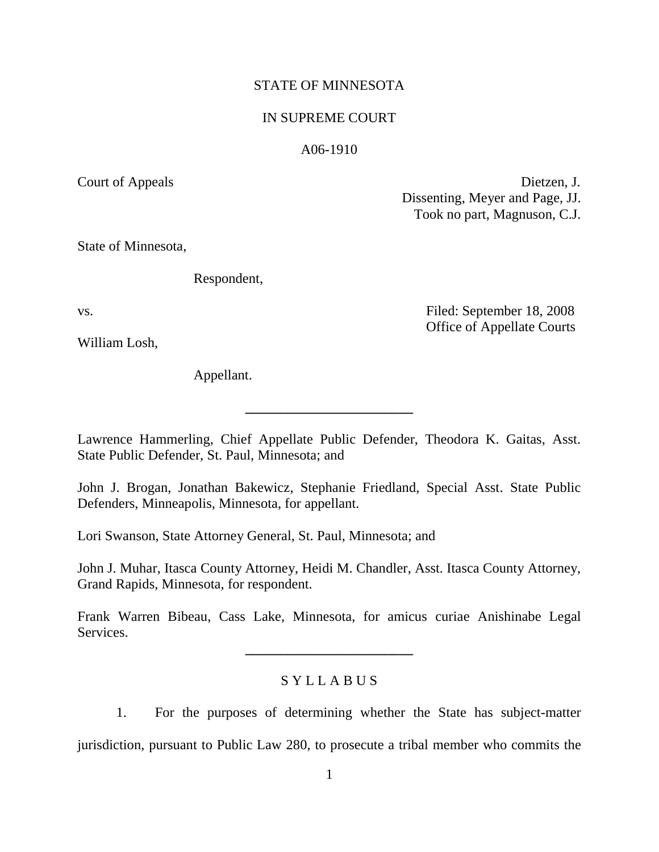## STATE OF MINNESOTA

## IN SUPREME COURT

### A06-1910

Court of Appeals Dietzen, J. Dissenting, Meyer and Page, JJ. Took no part, Magnuson, C.J.

State of Minnesota,

Respondent,

William Losh,

Appellant.

vs. **Filed:** September 18, 2008 Office of Appellate Courts

Lawrence Hammerling, Chief Appellate Public Defender, Theodora K. Gaitas, Asst. State Public Defender, St. Paul, Minnesota; and

**\_\_\_\_\_\_\_\_\_\_\_\_\_\_\_\_\_\_\_\_\_\_\_\_**

John J. Brogan, Jonathan Bakewicz, Stephanie Friedland, Special Asst. State Public Defenders, Minneapolis, Minnesota, for appellant.

Lori Swanson, State Attorney General, St. Paul, Minnesota; and

John J. Muhar, Itasca County Attorney, Heidi M. Chandler, Asst. Itasca County Attorney, Grand Rapids, Minnesota, for respondent.

Frank Warren Bibeau, Cass Lake, Minnesota, for amicus curiae Anishinabe Legal Services.

**\_\_\_\_\_\_\_\_\_\_\_\_\_\_\_\_\_\_\_\_\_\_\_\_**

# S Y L L A B U S

1. For the purposes of determining whether the State has subject-matter jurisdiction, pursuant to Public Law 280, to prosecute a tribal member who commits the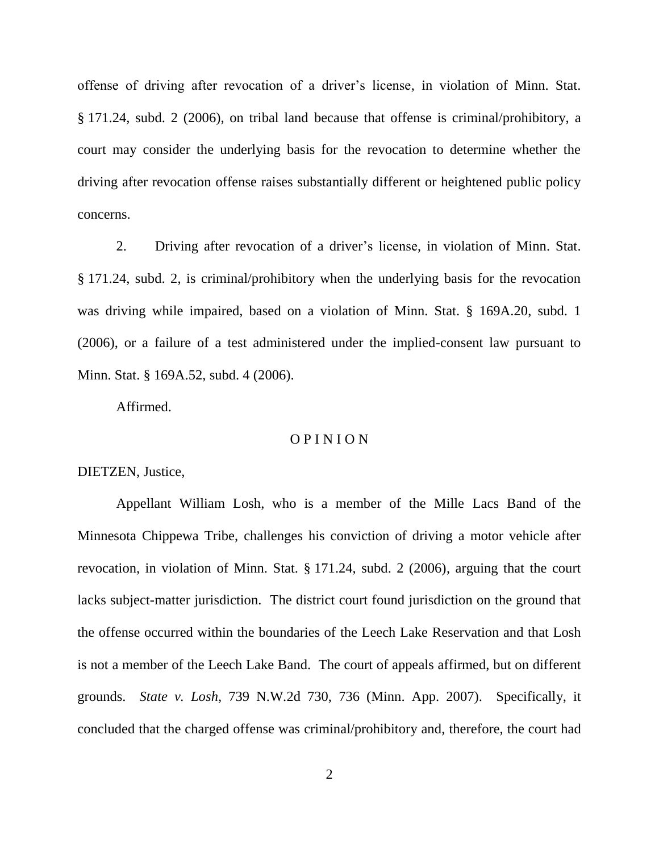offense of driving after revocation of a driver"s license, in violation of Minn. Stat. § 171.24, subd. 2 (2006), on tribal land because that offense is criminal/prohibitory, a court may consider the underlying basis for the revocation to determine whether the driving after revocation offense raises substantially different or heightened public policy concerns.

2. Driving after revocation of a driver"s license, in violation of Minn. Stat. § 171.24, subd. 2, is criminal/prohibitory when the underlying basis for the revocation was driving while impaired, based on a violation of Minn. Stat. § 169A.20, subd. 1 (2006), or a failure of a test administered under the implied-consent law pursuant to Minn. Stat. § 169A.52, subd. 4 (2006).

Affirmed.

## O P I N I O N

DIETZEN, Justice,

Appellant William Losh, who is a member of the Mille Lacs Band of the Minnesota Chippewa Tribe, challenges his conviction of driving a motor vehicle after revocation, in violation of Minn. Stat. § 171.24, subd. 2 (2006), arguing that the court lacks subject-matter jurisdiction. The district court found jurisdiction on the ground that the offense occurred within the boundaries of the Leech Lake Reservation and that Losh is not a member of the Leech Lake Band. The court of appeals affirmed, but on different grounds. *State v. Losh,* 739 N.W.2d 730, 736 (Minn. App. 2007). Specifically, it concluded that the charged offense was criminal/prohibitory and, therefore, the court had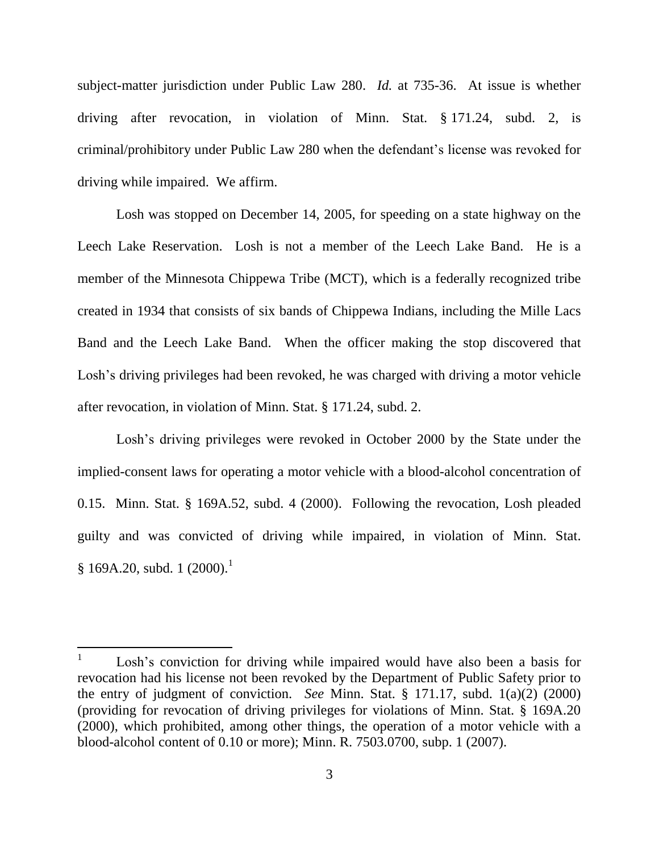subject-matter jurisdiction under Public Law 280. *Id.* at 735-36. At issue is whether driving after revocation, in violation of Minn. Stat. § 171.24, subd. 2, is criminal/prohibitory under Public Law 280 when the defendant"s license was revoked for driving while impaired. We affirm.

Losh was stopped on December 14, 2005, for speeding on a state highway on the Leech Lake Reservation. Losh is not a member of the Leech Lake Band. He is a member of the Minnesota Chippewa Tribe (MCT), which is a federally recognized tribe created in 1934 that consists of six bands of Chippewa Indians, including the Mille Lacs Band and the Leech Lake Band. When the officer making the stop discovered that Losh's driving privileges had been revoked, he was charged with driving a motor vehicle after revocation, in violation of Minn. Stat. § 171.24, subd. 2.

Losh's driving privileges were revoked in October 2000 by the State under the implied-consent laws for operating a motor vehicle with a blood-alcohol concentration of 0.15. Minn. Stat. § 169A.52, subd. 4 (2000). Following the revocation, Losh pleaded guilty and was convicted of driving while impaired, in violation of Minn. Stat.  $§ 169A.20, subd. 1 (2000).<sup>1</sup>$ 

<sup>1</sup> Losh's conviction for driving while impaired would have also been a basis for revocation had his license not been revoked by the Department of Public Safety prior to the entry of judgment of conviction. *See* Minn. Stat. § 171.17, subd. 1(a)(2) (2000) (providing for revocation of driving privileges for violations of Minn. Stat. § 169A.20 (2000), which prohibited, among other things, the operation of a motor vehicle with a blood-alcohol content of 0.10 or more); Minn. R. 7503.0700, subp. 1 (2007).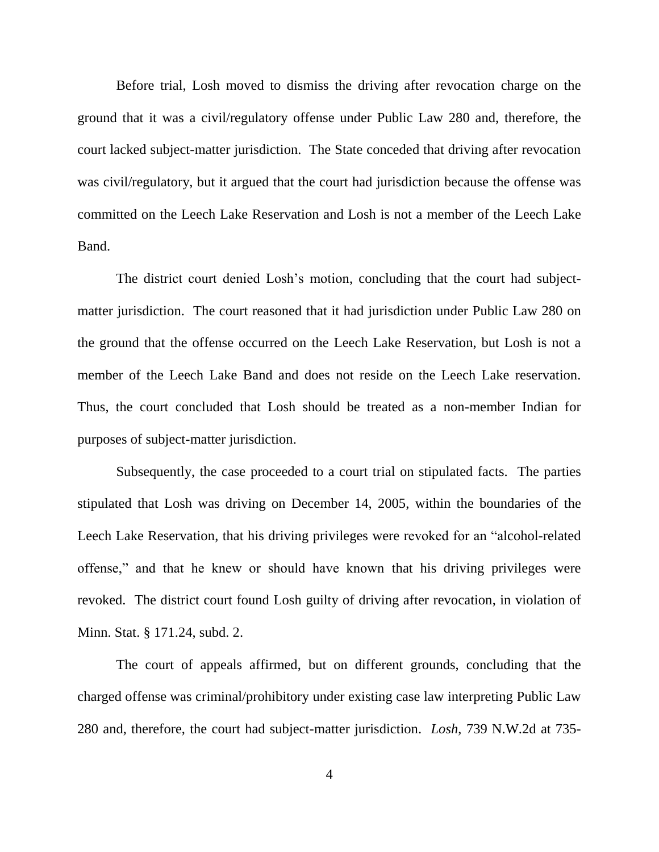Before trial, Losh moved to dismiss the driving after revocation charge on the ground that it was a civil/regulatory offense under Public Law 280 and, therefore, the court lacked subject-matter jurisdiction. The State conceded that driving after revocation was civil/regulatory, but it argued that the court had jurisdiction because the offense was committed on the Leech Lake Reservation and Losh is not a member of the Leech Lake Band.

The district court denied Losh"s motion, concluding that the court had subjectmatter jurisdiction. The court reasoned that it had jurisdiction under Public Law 280 on the ground that the offense occurred on the Leech Lake Reservation, but Losh is not a member of the Leech Lake Band and does not reside on the Leech Lake reservation. Thus, the court concluded that Losh should be treated as a non-member Indian for purposes of subject-matter jurisdiction.

Subsequently, the case proceeded to a court trial on stipulated facts. The parties stipulated that Losh was driving on December 14, 2005, within the boundaries of the Leech Lake Reservation, that his driving privileges were revoked for an "alcohol-related offense," and that he knew or should have known that his driving privileges were revoked. The district court found Losh guilty of driving after revocation, in violation of Minn. Stat. § 171.24, subd. 2.

The court of appeals affirmed, but on different grounds, concluding that the charged offense was criminal/prohibitory under existing case law interpreting Public Law 280 and, therefore, the court had subject-matter jurisdiction. *Losh*, 739 N.W.2d at 735-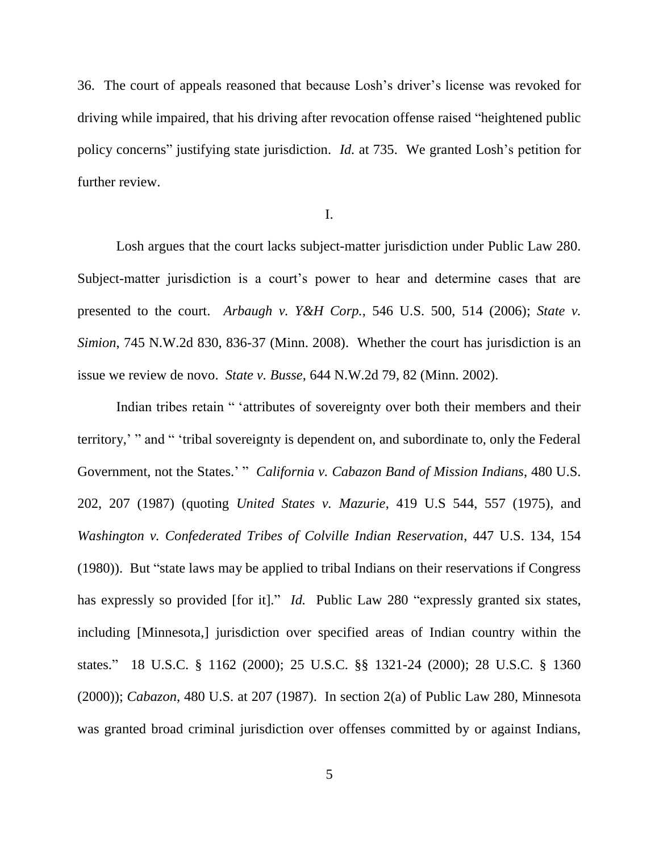36. The court of appeals reasoned that because Losh"s driver"s license was revoked for driving while impaired, that his driving after revocation offense raised "heightened public policy concerns" justifying state jurisdiction. *Id.* at 735. We granted Losh"s petition for further review.

I.

Losh argues that the court lacks subject-matter jurisdiction under Public Law 280. Subject-matter jurisdiction is a court's power to hear and determine cases that are presented to the court. *Arbaugh v. Y&H Corp.*, 546 U.S. 500, 514 (2006); *State v. Simion*, 745 N.W.2d 830, 836-37 (Minn. 2008). Whether the court has jurisdiction is an issue we review de novo. *State v. Busse*, 644 N.W.2d 79, 82 (Minn. 2002).

Indian tribes retain " "attributes of sovereignty over both their members and their territory," " and " "tribal sovereignty is dependent on, and subordinate to, only the Federal Government, not the States." " *California v. Cabazon Band of Mission Indians*, 480 U.S. 202, 207 (1987) (quoting *United States v. Mazurie*, 419 U.S 544, 557 (1975), and *Washington v. Confederated Tribes of Colville Indian Reservation*, 447 U.S. 134, 154 (1980)). But "state laws may be applied to tribal Indians on their reservations if Congress has expressly so provided [for it]." *Id.* Public Law 280 "expressly granted six states, including [Minnesota,] jurisdiction over specified areas of Indian country within the states." 18 U.S.C. § 1162 (2000); 25 U.S.C. §§ 1321-24 (2000); 28 U.S.C. § 1360 (2000)); *Cabazon*, 480 U.S. at 207 (1987). In section 2(a) of Public Law 280, Minnesota was granted broad criminal jurisdiction over offenses committed by or against Indians,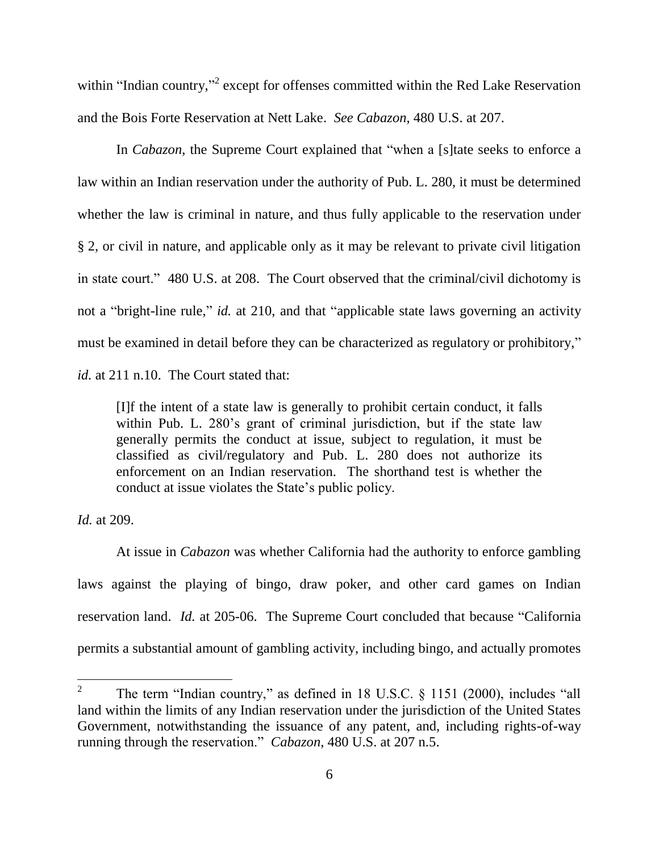within "Indian country,"<sup>2</sup> except for offenses committed within the Red Lake Reservation and the Bois Forte Reservation at Nett Lake. *See Cabazon*, 480 U.S. at 207.

In *Cabazon*, the Supreme Court explained that "when a [s]tate seeks to enforce a law within an Indian reservation under the authority of Pub. L. 280, it must be determined whether the law is criminal in nature, and thus fully applicable to the reservation under § 2, or civil in nature, and applicable only as it may be relevant to private civil litigation in state court." 480 U.S. at 208. The Court observed that the criminal/civil dichotomy is not a "bright-line rule," *id.* at 210, and that "applicable state laws governing an activity must be examined in detail before they can be characterized as regulatory or prohibitory," *id.* at 211 n.10. The Court stated that:

[I]f the intent of a state law is generally to prohibit certain conduct, it falls within Pub. L. 280's grant of criminal jurisdiction, but if the state law generally permits the conduct at issue, subject to regulation, it must be classified as civil/regulatory and Pub. L. 280 does not authorize its enforcement on an Indian reservation. The shorthand test is whether the conduct at issue violates the State"s public policy.

*Id.* at 209.

 $\overline{a}$ 

At issue in *Cabazon* was whether California had the authority to enforce gambling laws against the playing of bingo, draw poker, and other card games on Indian reservation land. *Id.* at 205-06. The Supreme Court concluded that because "California permits a substantial amount of gambling activity, including bingo, and actually promotes

<sup>2</sup> The term "Indian country," as defined in 18 U.S.C. § 1151 (2000), includes "all land within the limits of any Indian reservation under the jurisdiction of the United States Government, notwithstanding the issuance of any patent, and, including rights-of-way running through the reservation." *Cabazon*, 480 U.S. at 207 n.5.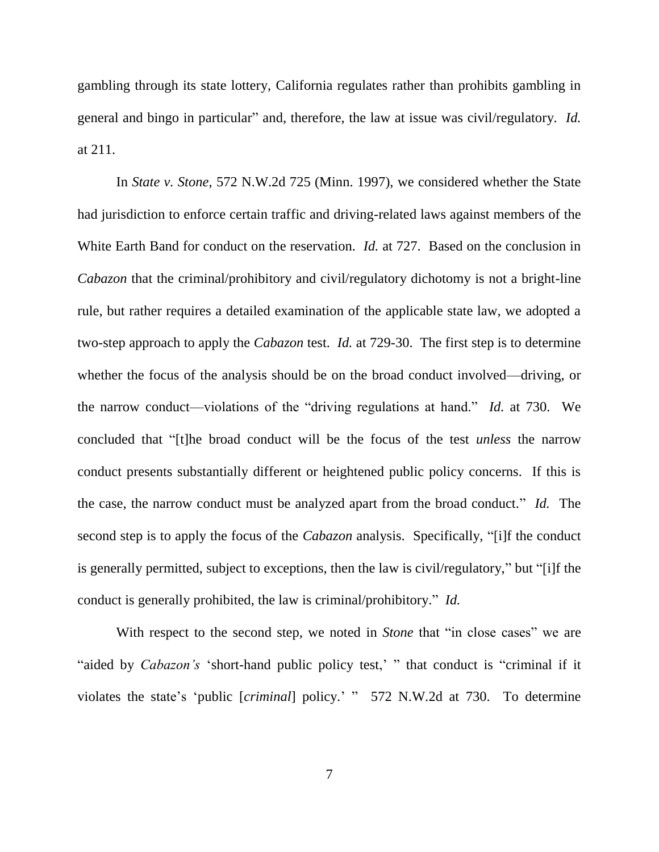gambling through its state lottery, California regulates rather than prohibits gambling in general and bingo in particular" and, therefore, the law at issue was civil/regulatory. *Id.*  at 211.

In *State v. Stone*, 572 N.W.2d 725 (Minn. 1997), we considered whether the State had jurisdiction to enforce certain traffic and driving-related laws against members of the White Earth Band for conduct on the reservation. *Id.* at 727. Based on the conclusion in *Cabazon* that the criminal/prohibitory and civil/regulatory dichotomy is not a bright-line rule, but rather requires a detailed examination of the applicable state law, we adopted a two-step approach to apply the *Cabazon* test. *Id.* at 729-30. The first step is to determine whether the focus of the analysis should be on the broad conduct involved—driving, or the narrow conduct—violations of the "driving regulations at hand." *Id.* at 730. We concluded that "[t]he broad conduct will be the focus of the test *unless* the narrow conduct presents substantially different or heightened public policy concerns. If this is the case, the narrow conduct must be analyzed apart from the broad conduct." *Id.* The second step is to apply the focus of the *Cabazon* analysis. Specifically, "[i]f the conduct is generally permitted, subject to exceptions, then the law is civil/regulatory," but "[i]f the conduct is generally prohibited, the law is criminal/prohibitory." *Id.* 

With respect to the second step, we noted in *Stone* that "in close cases" we are "aided by *Cabazon's* 'short-hand public policy test,' " that conduct is "criminal if it violates the state"s "public [*criminal*] policy." " 572 N.W.2d at 730. To determine

7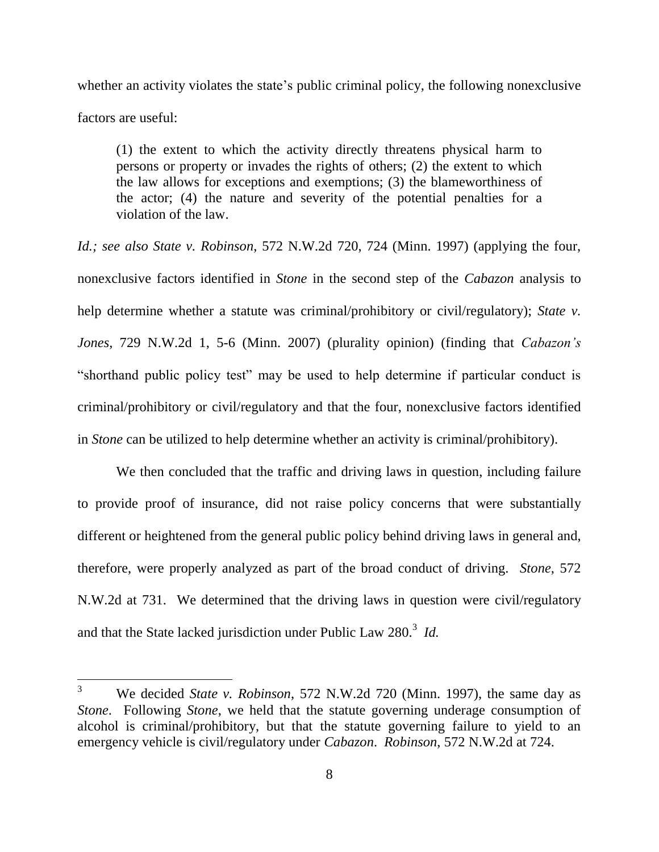whether an activity violates the state's public criminal policy, the following nonexclusive factors are useful:

(1) the extent to which the activity directly threatens physical harm to persons or property or invades the rights of others; (2) the extent to which the law allows for exceptions and exemptions; (3) the blameworthiness of the actor; (4) the nature and severity of the potential penalties for a violation of the law.

*Id.; see also State v. Robinson*, 572 N.W.2d 720, 724 (Minn. 1997) (applying the four, nonexclusive factors identified in *Stone* in the second step of the *Cabazon* analysis to help determine whether a statute was criminal/prohibitory or civil/regulatory); *State v. Jones*, 729 N.W.2d 1, 5-6 (Minn. 2007) (plurality opinion) (finding that *Cabazon's* "shorthand public policy test" may be used to help determine if particular conduct is criminal/prohibitory or civil/regulatory and that the four, nonexclusive factors identified in *Stone* can be utilized to help determine whether an activity is criminal/prohibitory).

We then concluded that the traffic and driving laws in question, including failure to provide proof of insurance, did not raise policy concerns that were substantially different or heightened from the general public policy behind driving laws in general and, therefore, were properly analyzed as part of the broad conduct of driving. *Stone*, 572 N.W.2d at 731. We determined that the driving laws in question were civil/regulatory and that the State lacked jurisdiction under Public Law 280. 3 *Id.*

<sup>3</sup> We decided *State v. Robinson*, 572 N.W.2d 720 (Minn. 1997), the same day as *Stone*. Following *Stone*, we held that the statute governing underage consumption of alcohol is criminal/prohibitory, but that the statute governing failure to yield to an emergency vehicle is civil/regulatory under *Cabazon*. *Robinson*, 572 N.W.2d at 724.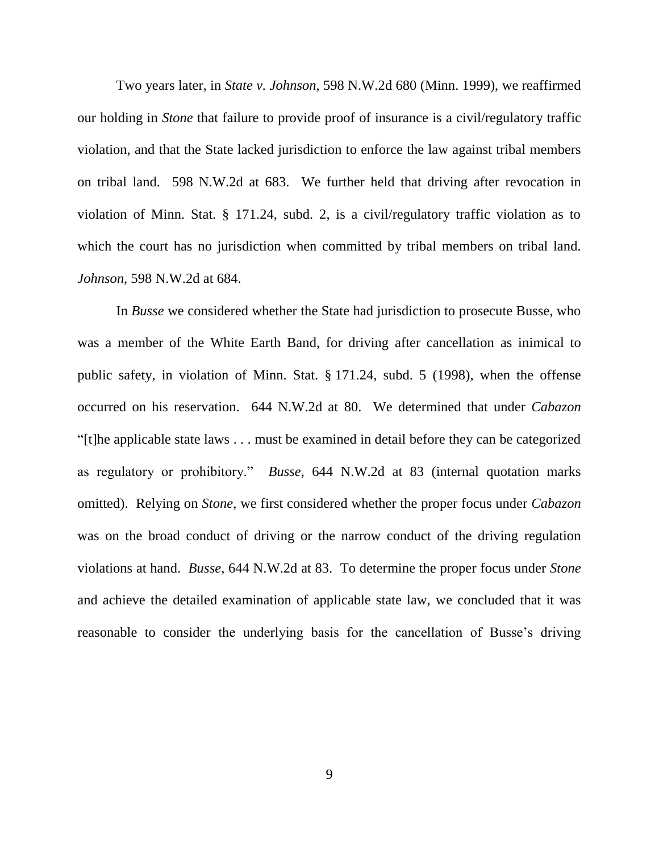Two years later, in *State v. Johnson*, 598 N.W.2d 680 (Minn. 1999), we reaffirmed our holding in *Stone* that failure to provide proof of insurance is a civil/regulatory traffic violation, and that the State lacked jurisdiction to enforce the law against tribal members on tribal land. 598 N.W.2d at 683.We further held that driving after revocation in violation of Minn. Stat. § 171.24, subd. 2, is a civil/regulatory traffic violation as to which the court has no jurisdiction when committed by tribal members on tribal land. *Johnson*, 598 N.W.2d at 684.

In *Busse* we considered whether the State had jurisdiction to prosecute Busse, who was a member of the White Earth Band, for driving after cancellation as inimical to public safety, in violation of Minn. Stat. § 171.24, subd. 5 (1998), when the offense occurred on his reservation. 644 N.W.2d at 80. We determined that under *Cabazon* "[t]he applicable state laws . . . must be examined in detail before they can be categorized as regulatory or prohibitory." *Busse*, 644 N.W.2d at 83 (internal quotation marks omitted). Relying on *Stone*, we first considered whether the proper focus under *Cabazon* was on the broad conduct of driving or the narrow conduct of the driving regulation violations at hand. *Busse*, 644 N.W.2d at 83. To determine the proper focus under *Stone*  and achieve the detailed examination of applicable state law, we concluded that it was reasonable to consider the underlying basis for the cancellation of Busse"s driving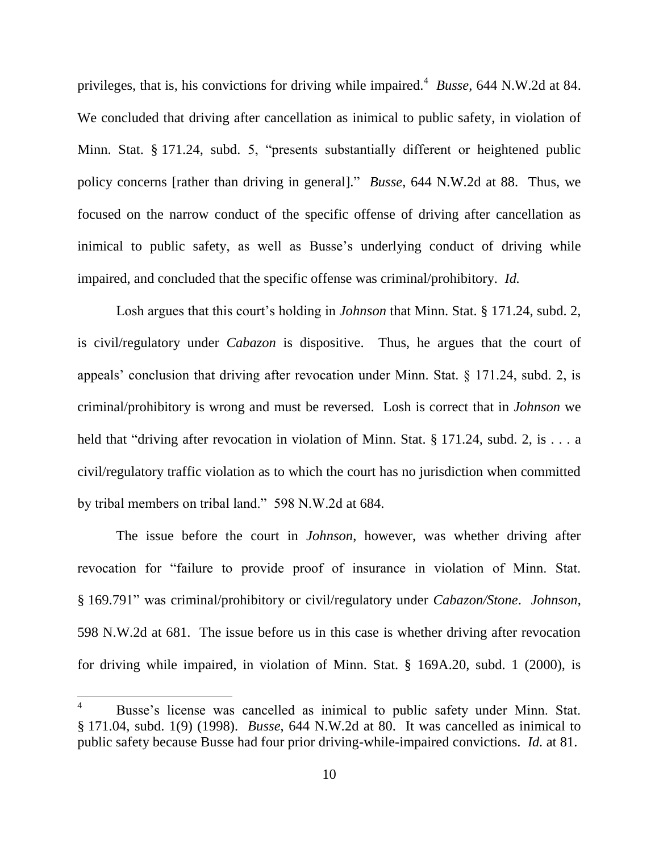privileges, that is, his convictions for driving while impaired. 4 *Busse*, 644 N.W.2d at 84. We concluded that driving after cancellation as inimical to public safety, in violation of Minn. Stat. § 171.24, subd. 5, "presents substantially different or heightened public policy concerns [rather than driving in general]." *Busse*, 644 N.W.2d at 88. Thus, we focused on the narrow conduct of the specific offense of driving after cancellation as inimical to public safety, as well as Busse's underlying conduct of driving while impaired, and concluded that the specific offense was criminal/prohibitory. *Id.*

Losh argues that this court's holding in *Johnson* that Minn. Stat. § 171.24, subd. 2, is civil/regulatory under *Cabazon* is dispositive. Thus, he argues that the court of appeals" conclusion that driving after revocation under Minn. Stat. § 171.24, subd. 2, is criminal/prohibitory is wrong and must be reversed. Losh is correct that in *Johnson* we held that "driving after revocation in violation of Minn. Stat. § 171.24, subd. 2, is . . . a civil/regulatory traffic violation as to which the court has no jurisdiction when committed by tribal members on tribal land." 598 N.W.2d at 684.

The issue before the court in *Johnson*, however, was whether driving after revocation for "failure to provide proof of insurance in violation of Minn. Stat. § 169.791" was criminal/prohibitory or civil/regulatory under *Cabazon/Stone*. *Johnson*, 598 N.W.2d at 681. The issue before us in this case is whether driving after revocation for driving while impaired, in violation of Minn. Stat. § 169A.20, subd. 1 (2000), is

<sup>&</sup>lt;sup>4</sup> Busse's license was cancelled as inimical to public safety under Minn. Stat. § 171.04, subd. 1(9) (1998). *Busse*, 644 N.W.2d at 80. It was cancelled as inimical to public safety because Busse had four prior driving-while-impaired convictions. *Id.* at 81.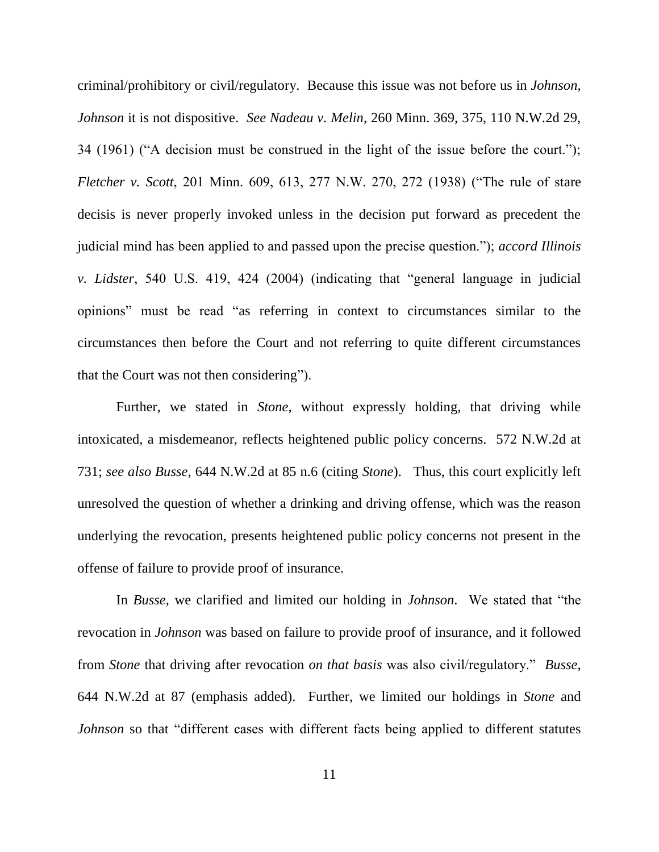criminal/prohibitory or civil/regulatory. Because this issue was not before us in *Johnson*, *Johnson* it is not dispositive. *See Nadeau v. Melin*, 260 Minn. 369, 375, 110 N.W.2d 29, 34 (1961) ("A decision must be construed in the light of the issue before the court."); *Fletcher v. Scott*, 201 Minn. 609, 613, 277 N.W. 270, 272 (1938) ("The rule of stare decisis is never properly invoked unless in the decision put forward as precedent the judicial mind has been applied to and passed upon the precise question."); *accord Illinois v. Lidster*, 540 U.S. 419, 424 (2004) (indicating that "general language in judicial opinions" must be read "as referring in context to circumstances similar to the circumstances then before the Court and not referring to quite different circumstances that the Court was not then considering").

Further, we stated in *Stone*, without expressly holding, that driving while intoxicated, a misdemeanor, reflects heightened public policy concerns. 572 N.W.2d at 731; *see also Busse*, 644 N.W.2d at 85 n.6 (citing *Stone*). Thus, this court explicitly left unresolved the question of whether a drinking and driving offense, which was the reason underlying the revocation, presents heightened public policy concerns not present in the offense of failure to provide proof of insurance.

In *Busse*, we clarified and limited our holding in *Johnson*. We stated that "the revocation in *Johnson* was based on failure to provide proof of insurance, and it followed from *Stone* that driving after revocation *on that basis* was also civil/regulatory." *Busse*, 644 N.W.2d at 87 (emphasis added). Further, we limited our holdings in *Stone* and *Johnson* so that "different cases with different facts being applied to different statutes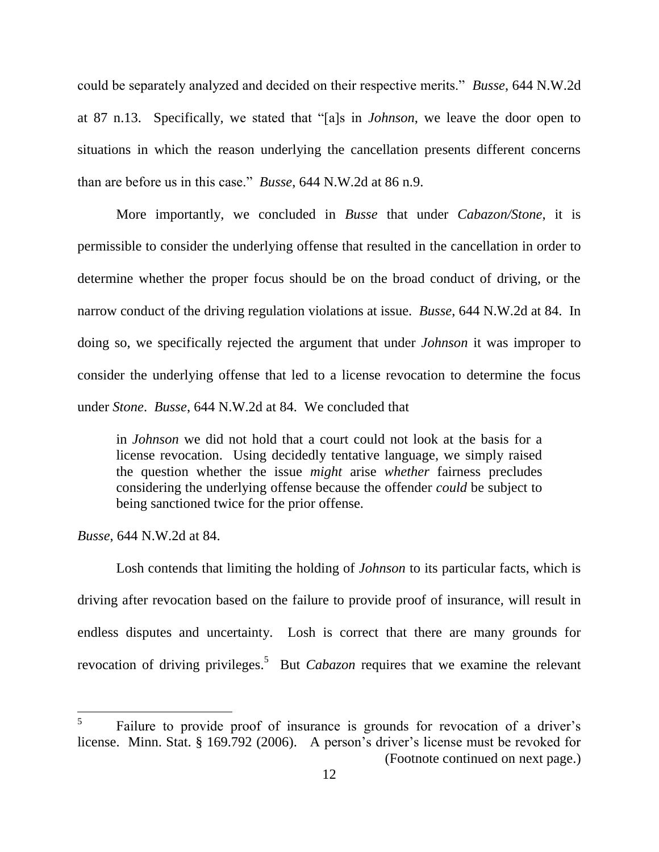could be separately analyzed and decided on their respective merits." *Busse*, 644 N.W.2d at 87 n.13. Specifically, we stated that "[a]s in *Johnson*, we leave the door open to situations in which the reason underlying the cancellation presents different concerns than are before us in this case." *Busse*, 644 N.W.2d at 86 n.9.

More importantly, we concluded in *Busse* that under *Cabazon/Stone*, it is permissible to consider the underlying offense that resulted in the cancellation in order to determine whether the proper focus should be on the broad conduct of driving, or the narrow conduct of the driving regulation violations at issue. *Busse*, 644 N.W.2d at 84. In doing so, we specifically rejected the argument that under *Johnson* it was improper to consider the underlying offense that led to a license revocation to determine the focus under *Stone*. *Busse*, 644 N.W.2d at 84. We concluded that

in *Johnson* we did not hold that a court could not look at the basis for a license revocation. Using decidedly tentative language, we simply raised the question whether the issue *might* arise *whether* fairness precludes considering the underlying offense because the offender *could* be subject to being sanctioned twice for the prior offense.

*Busse*, 644 N.W.2d at 84.

 $\overline{a}$ 

Losh contends that limiting the holding of *Johnson* to its particular facts, which is driving after revocation based on the failure to provide proof of insurance, will result in endless disputes and uncertainty. Losh is correct that there are many grounds for revocation of driving privileges. 5 But *Cabazon* requires that we examine the relevant

<sup>5</sup> Failure to provide proof of insurance is grounds for revocation of a driver's license. Minn. Stat. § 169.792 (2006). A person's driver's license must be revoked for (Footnote continued on next page.)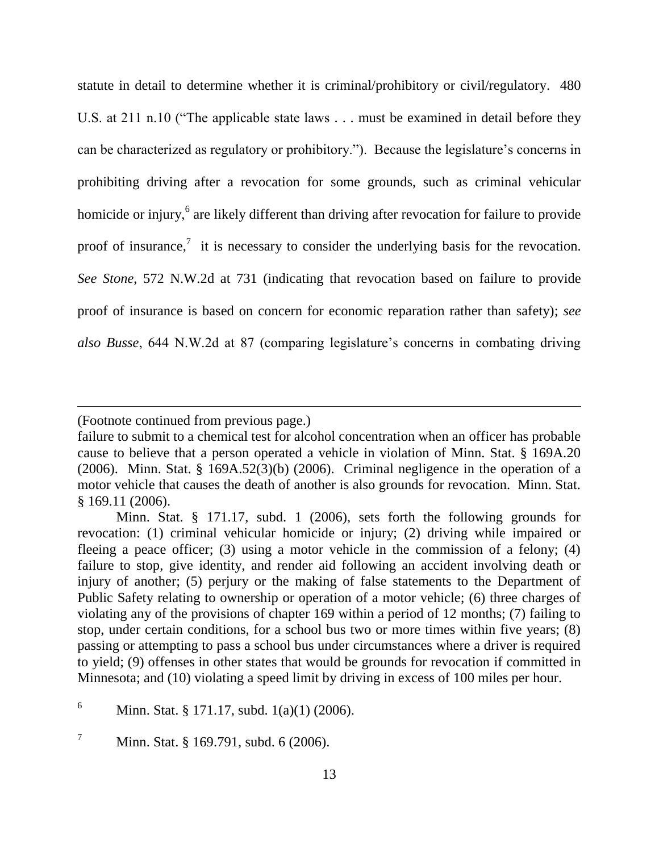statute in detail to determine whether it is criminal/prohibitory or civil/regulatory. 480 U.S. at 211 n.10 ("The applicable state laws . . . must be examined in detail before they can be characterized as regulatory or prohibitory."). Because the legislature"s concerns in prohibiting driving after a revocation for some grounds, such as criminal vehicular homicide or injury,<sup>6</sup> are likely different than driving after revocation for failure to provide proof of insurance,<sup>7</sup> it is necessary to consider the underlying basis for the revocation. *See Stone*, 572 N.W.2d at 731 (indicating that revocation based on failure to provide proof of insurance is based on concern for economic reparation rather than safety); *see also Busse*, 644 N.W.2d at 87 (comparing legislature"s concerns in combating driving

<sup>(</sup>Footnote continued from previous page.)

failure to submit to a chemical test for alcohol concentration when an officer has probable cause to believe that a person operated a vehicle in violation of Minn. Stat. § 169A.20 (2006). Minn. Stat. § 169A.52(3)(b) (2006). Criminal negligence in the operation of a motor vehicle that causes the death of another is also grounds for revocation. Minn. Stat. § 169.11 (2006).

Minn. Stat. § 171.17, subd. 1 (2006), sets forth the following grounds for revocation: (1) criminal vehicular homicide or injury; (2) driving while impaired or fleeing a peace officer; (3) using a motor vehicle in the commission of a felony; (4) failure to stop, give identity, and render aid following an accident involving death or injury of another; (5) perjury or the making of false statements to the Department of Public Safety relating to ownership or operation of a motor vehicle; (6) three charges of violating any of the provisions of chapter 169 within a period of 12 months; (7) failing to stop, under certain conditions, for a school bus two or more times within five years; (8) passing or attempting to pass a school bus under circumstances where a driver is required to yield; (9) offenses in other states that would be grounds for revocation if committed in Minnesota; and (10) violating a speed limit by driving in excess of 100 miles per hour.

<sup>&</sup>lt;sup>6</sup> Minn. Stat. § 171.17, subd. 1(a)(1) (2006).

 $^7$  Minn. Stat. § 169.791, subd. 6 (2006).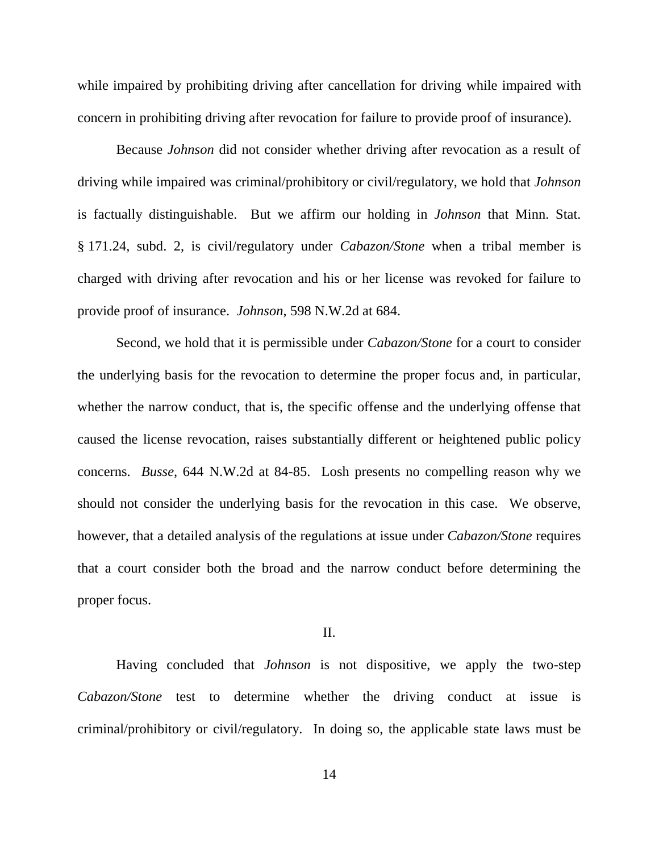while impaired by prohibiting driving after cancellation for driving while impaired with concern in prohibiting driving after revocation for failure to provide proof of insurance).

Because *Johnson* did not consider whether driving after revocation as a result of driving while impaired was criminal/prohibitory or civil/regulatory, we hold that *Johnson* is factually distinguishable. But we affirm our holding in *Johnson* that Minn. Stat. § 171.24, subd. 2, is civil/regulatory under *Cabazon/Stone* when a tribal member is charged with driving after revocation and his or her license was revoked for failure to provide proof of insurance. *Johnson*, 598 N.W.2d at 684.

Second, we hold that it is permissible under *Cabazon/Stone* for a court to consider the underlying basis for the revocation to determine the proper focus and, in particular, whether the narrow conduct, that is, the specific offense and the underlying offense that caused the license revocation, raises substantially different or heightened public policy concerns. *Busse,* 644 N.W.2d at 84-85. Losh presents no compelling reason why we should not consider the underlying basis for the revocation in this case. We observe, however, that a detailed analysis of the regulations at issue under *Cabazon/Stone* requires that a court consider both the broad and the narrow conduct before determining the proper focus.

#### II.

Having concluded that *Johnson* is not dispositive, we apply the two-step *Cabazon/Stone* test to determine whether the driving conduct at issue is criminal/prohibitory or civil/regulatory. In doing so, the applicable state laws must be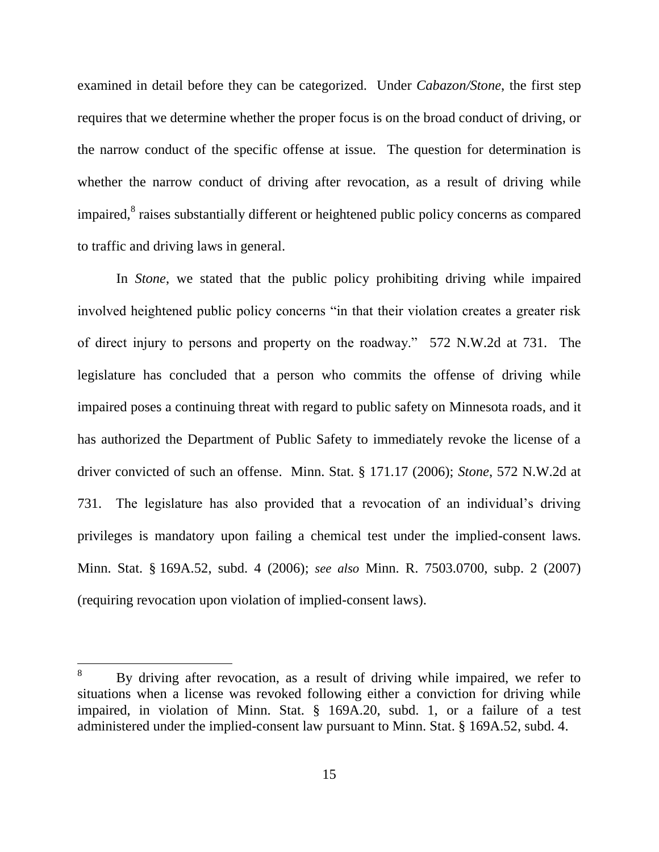examined in detail before they can be categorized. Under *Cabazon/Stone*, the first step requires that we determine whether the proper focus is on the broad conduct of driving, or the narrow conduct of the specific offense at issue. The question for determination is whether the narrow conduct of driving after revocation, as a result of driving while impaired,<sup>8</sup> raises substantially different or heightened public policy concerns as compared to traffic and driving laws in general.

In *Stone*, we stated that the public policy prohibiting driving while impaired involved heightened public policy concerns "in that their violation creates a greater risk of direct injury to persons and property on the roadway." 572 N.W.2d at 731. The legislature has concluded that a person who commits the offense of driving while impaired poses a continuing threat with regard to public safety on Minnesota roads, and it has authorized the Department of Public Safety to immediately revoke the license of a driver convicted of such an offense. Minn. Stat. § 171.17 (2006); *Stone*, 572 N.W.2d at 731. The legislature has also provided that a revocation of an individual"s driving privileges is mandatory upon failing a chemical test under the implied-consent laws. Minn. Stat. § 169A.52, subd. 4 (2006); *see also* Minn. R. 7503.0700, subp. 2 (2007) (requiring revocation upon violation of implied-consent laws).

By driving after revocation, as a result of driving while impaired, we refer to situations when a license was revoked following either a conviction for driving while impaired, in violation of Minn. Stat. § 169A.20, subd. 1, or a failure of a test administered under the implied-consent law pursuant to Minn. Stat. § 169A.52, subd. 4.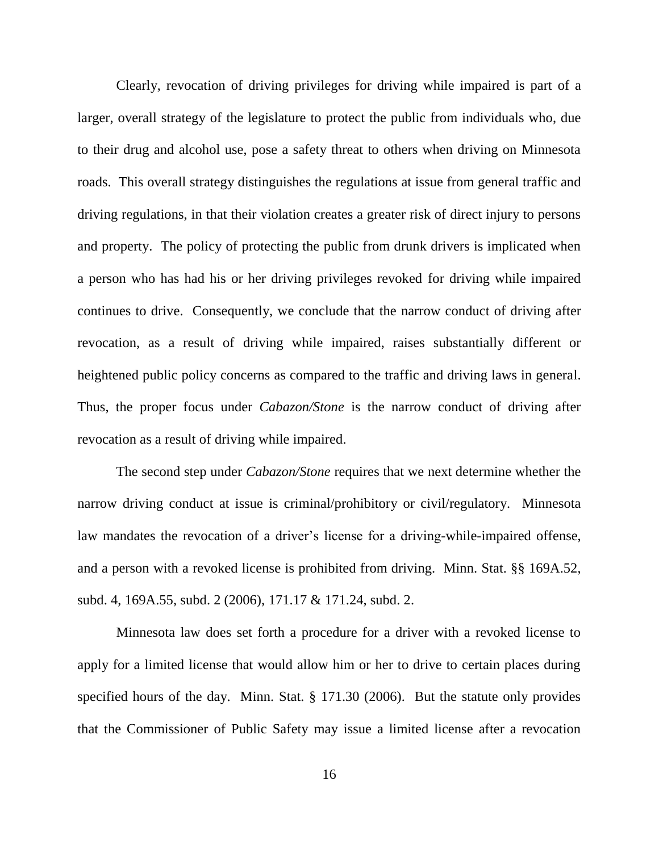Clearly, revocation of driving privileges for driving while impaired is part of a larger, overall strategy of the legislature to protect the public from individuals who, due to their drug and alcohol use, pose a safety threat to others when driving on Minnesota roads. This overall strategy distinguishes the regulations at issue from general traffic and driving regulations, in that their violation creates a greater risk of direct injury to persons and property. The policy of protecting the public from drunk drivers is implicated when a person who has had his or her driving privileges revoked for driving while impaired continues to drive. Consequently, we conclude that the narrow conduct of driving after revocation, as a result of driving while impaired, raises substantially different or heightened public policy concerns as compared to the traffic and driving laws in general. Thus, the proper focus under *Cabazon/Stone* is the narrow conduct of driving after revocation as a result of driving while impaired.

The second step under *Cabazon/Stone* requires that we next determine whether the narrow driving conduct at issue is criminal/prohibitory or civil/regulatory. Minnesota law mandates the revocation of a driver's license for a driving-while-impaired offense, and a person with a revoked license is prohibited from driving. Minn. Stat. §§ 169A.52, subd. 4, 169A.55, subd. 2 (2006), 171.17 & 171.24, subd. 2.

Minnesota law does set forth a procedure for a driver with a revoked license to apply for a limited license that would allow him or her to drive to certain places during specified hours of the day. Minn. Stat. § 171.30 (2006). But the statute only provides that the Commissioner of Public Safety may issue a limited license after a revocation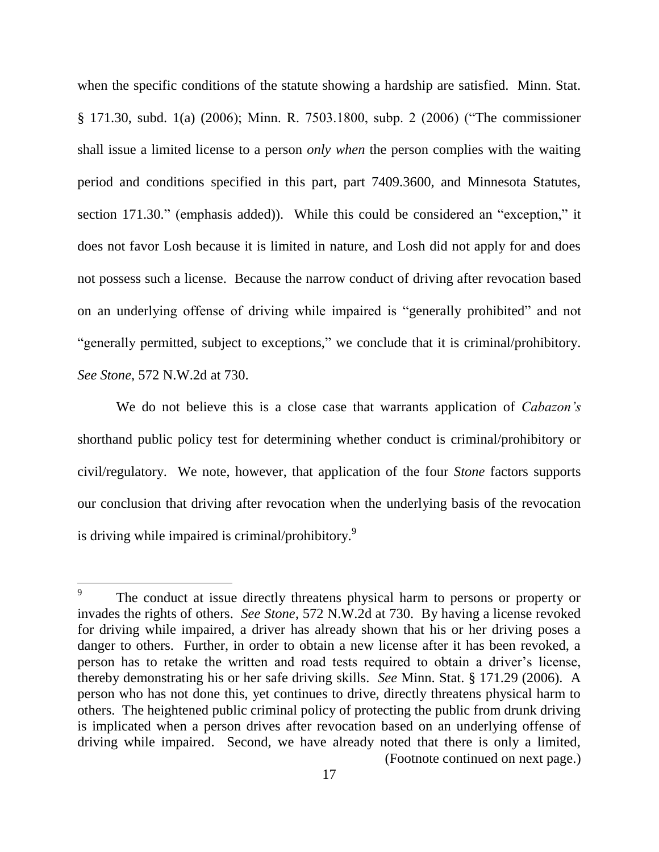when the specific conditions of the statute showing a hardship are satisfied. Minn. Stat. § 171.30, subd. 1(a) (2006); Minn. R. 7503.1800, subp. 2 (2006) ("The commissioner shall issue a limited license to a person *only when* the person complies with the waiting period and conditions specified in this part, part 7409.3600, and Minnesota Statutes, section 171.30." (emphasis added)). While this could be considered an "exception," it does not favor Losh because it is limited in nature, and Losh did not apply for and does not possess such a license. Because the narrow conduct of driving after revocation based on an underlying offense of driving while impaired is "generally prohibited" and not "generally permitted, subject to exceptions," we conclude that it is criminal/prohibitory. *See Stone*, 572 N.W.2d at 730.

We do not believe this is a close case that warrants application of *Cabazon's* shorthand public policy test for determining whether conduct is criminal/prohibitory or civil/regulatory. We note, however, that application of the four *Stone* factors supports our conclusion that driving after revocation when the underlying basis of the revocation is driving while impaired is criminal/prohibitory.<sup>9</sup>

<sup>9</sup> The conduct at issue directly threatens physical harm to persons or property or invades the rights of others. *See Stone*, 572 N.W.2d at 730. By having a license revoked for driving while impaired, a driver has already shown that his or her driving poses a danger to others. Further, in order to obtain a new license after it has been revoked, a person has to retake the written and road tests required to obtain a driver"s license, thereby demonstrating his or her safe driving skills. *See* Minn. Stat. § 171.29 (2006). A person who has not done this, yet continues to drive, directly threatens physical harm to others. The heightened public criminal policy of protecting the public from drunk driving is implicated when a person drives after revocation based on an underlying offense of driving while impaired. Second, we have already noted that there is only a limited, (Footnote continued on next page.)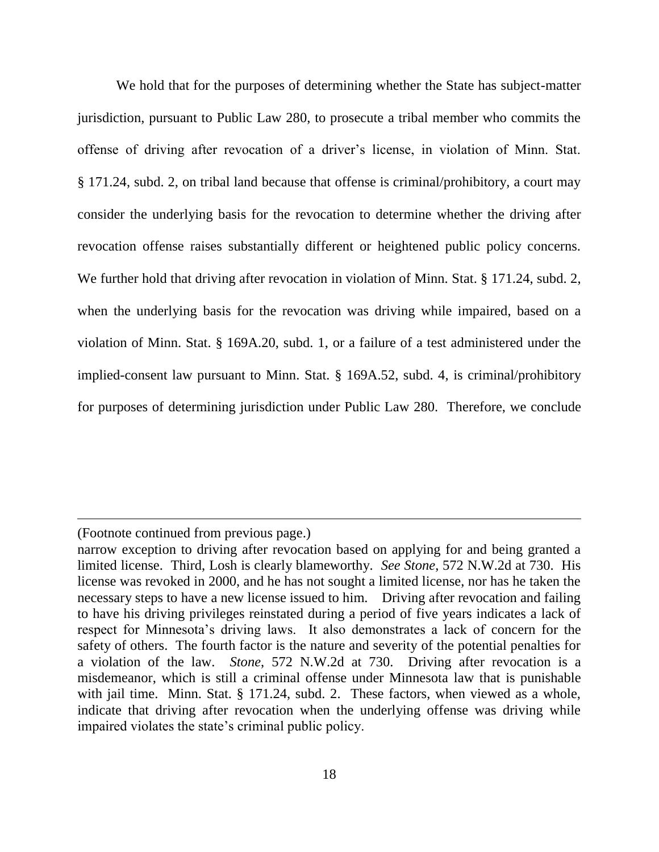We hold that for the purposes of determining whether the State has subject-matter jurisdiction, pursuant to Public Law 280, to prosecute a tribal member who commits the offense of driving after revocation of a driver"s license, in violation of Minn. Stat. § 171.24, subd. 2, on tribal land because that offense is criminal/prohibitory, a court may consider the underlying basis for the revocation to determine whether the driving after revocation offense raises substantially different or heightened public policy concerns. We further hold that driving after revocation in violation of Minn. Stat. § 171.24, subd. 2, when the underlying basis for the revocation was driving while impaired, based on a violation of Minn. Stat. § 169A.20, subd. 1, or a failure of a test administered under the implied-consent law pursuant to Minn. Stat. § 169A.52, subd. 4, is criminal/prohibitory for purposes of determining jurisdiction under Public Law 280. Therefore, we conclude

<sup>(</sup>Footnote continued from previous page.)

narrow exception to driving after revocation based on applying for and being granted a limited license. Third, Losh is clearly blameworthy. *See Stone*, 572 N.W.2d at 730. His license was revoked in 2000, and he has not sought a limited license, nor has he taken the necessary steps to have a new license issued to him. Driving after revocation and failing to have his driving privileges reinstated during a period of five years indicates a lack of respect for Minnesota"s driving laws. It also demonstrates a lack of concern for the safety of others. The fourth factor is the nature and severity of the potential penalties for a violation of the law. *Stone*, 572 N.W.2d at 730. Driving after revocation is a misdemeanor, which is still a criminal offense under Minnesota law that is punishable with jail time. Minn. Stat. § 171.24, subd. 2. These factors, when viewed as a whole, indicate that driving after revocation when the underlying offense was driving while impaired violates the state"s criminal public policy.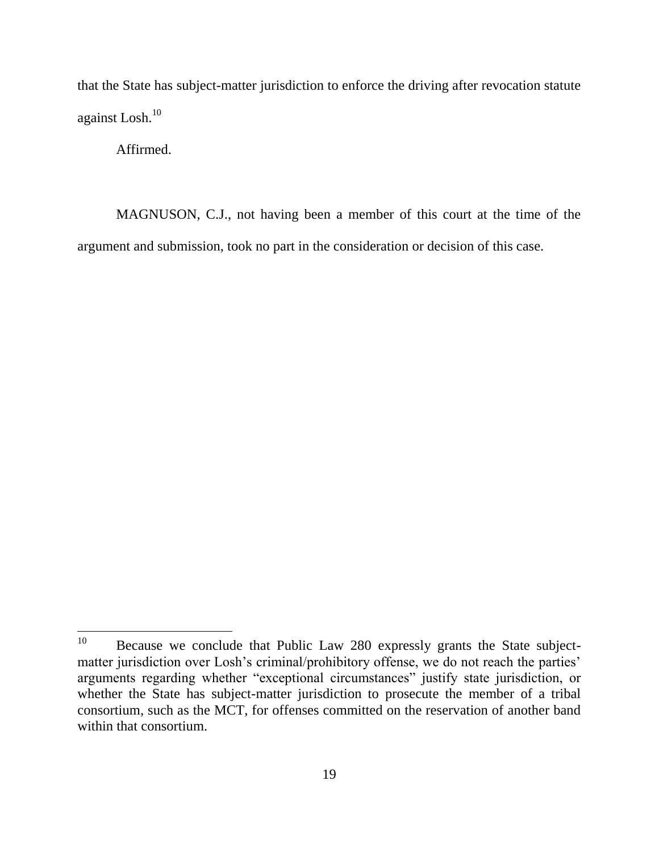that the State has subject-matter jurisdiction to enforce the driving after revocation statute against Losh.<sup>10</sup>

Affirmed.

MAGNUSON, C.J., not having been a member of this court at the time of the argument and submission, took no part in the consideration or decision of this case.

 $10<sup>10</sup>$ Because we conclude that Public Law 280 expressly grants the State subjectmatter jurisdiction over Losh's criminal/prohibitory offense, we do not reach the parties' arguments regarding whether "exceptional circumstances" justify state jurisdiction, or whether the State has subject-matter jurisdiction to prosecute the member of a tribal consortium, such as the MCT, for offenses committed on the reservation of another band within that consortium.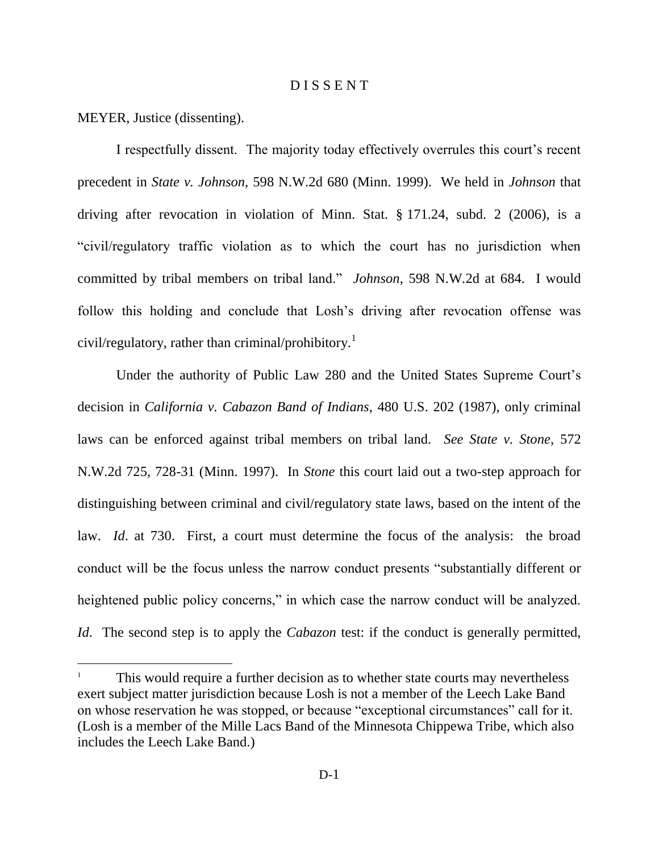#### D I S S E N T

MEYER, Justice (dissenting).

 $\overline{a}$ 

I respectfully dissent. The majority today effectively overrules this court"s recent precedent in *State v. Johnson*, 598 N.W.2d 680 (Minn. 1999). We held in *Johnson* that driving after revocation in violation of Minn. Stat. § 171.24, subd. 2 (2006), is a "civil/regulatory traffic violation as to which the court has no jurisdiction when committed by tribal members on tribal land." *Johnson*, 598 N.W.2d at 684. I would follow this holding and conclude that Losh's driving after revocation offense was civil/regulatory, rather than criminal/prohibitory.<sup>1</sup>

Under the authority of Public Law 280 and the United States Supreme Court's decision in *California v. Cabazon Band of Indians*, 480 U.S. 202 (1987), only criminal laws can be enforced against tribal members on tribal land. *See State v. Stone*, 572 N.W.2d 725, 728-31 (Minn. 1997). In *Stone* this court laid out a two-step approach for distinguishing between criminal and civil/regulatory state laws, based on the intent of the law. *Id*. at 730. First, a court must determine the focus of the analysis: the broad conduct will be the focus unless the narrow conduct presents "substantially different or heightened public policy concerns," in which case the narrow conduct will be analyzed. *Id*. The second step is to apply the *Cabazon* test: if the conduct is generally permitted,

<sup>1</sup> This would require a further decision as to whether state courts may nevertheless exert subject matter jurisdiction because Losh is not a member of the Leech Lake Band on whose reservation he was stopped, or because "exceptional circumstances" call for it. (Losh is a member of the Mille Lacs Band of the Minnesota Chippewa Tribe, which also includes the Leech Lake Band.)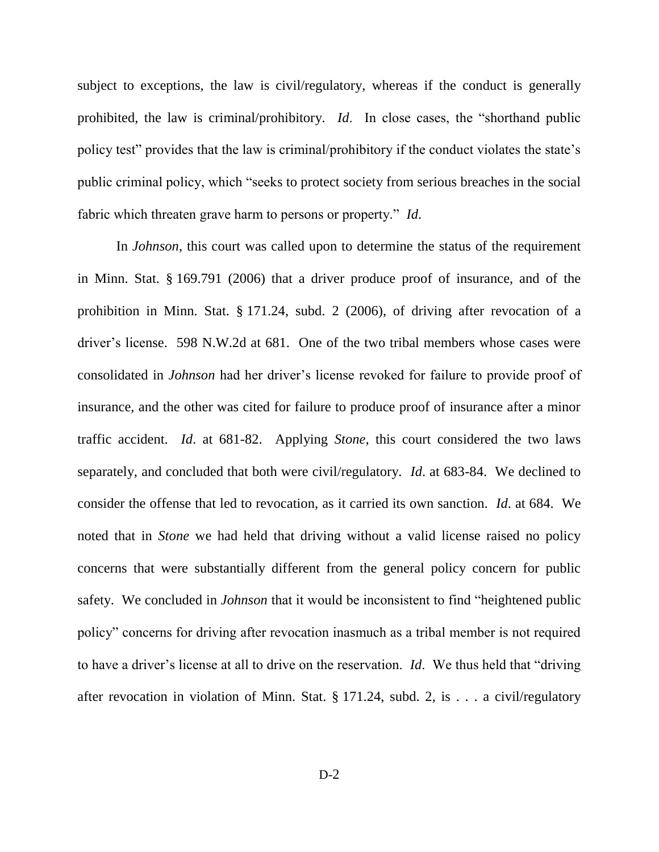subject to exceptions, the law is civil/regulatory, whereas if the conduct is generally prohibited, the law is criminal/prohibitory. *Id*. In close cases, the "shorthand public policy test" provides that the law is criminal/prohibitory if the conduct violates the state"s public criminal policy, which "seeks to protect society from serious breaches in the social fabric which threaten grave harm to persons or property." *Id*.

In *Johnson*, this court was called upon to determine the status of the requirement in Minn. Stat. § 169.791 (2006) that a driver produce proof of insurance, and of the prohibition in Minn. Stat. § 171.24, subd. 2 (2006), of driving after revocation of a driver"s license. 598 N.W.2d at 681. One of the two tribal members whose cases were consolidated in *Johnson* had her driver"s license revoked for failure to provide proof of insurance, and the other was cited for failure to produce proof of insurance after a minor traffic accident. *Id*. at 681-82. Applying *Stone*, this court considered the two laws separately, and concluded that both were civil/regulatory. *Id*. at 683-84. We declined to consider the offense that led to revocation, as it carried its own sanction. *Id*. at 684. We noted that in *Stone* we had held that driving without a valid license raised no policy concerns that were substantially different from the general policy concern for public safety. We concluded in *Johnson* that it would be inconsistent to find "heightened public policy" concerns for driving after revocation inasmuch as a tribal member is not required to have a driver"s license at all to drive on the reservation. *Id*. We thus held that "driving after revocation in violation of Minn. Stat. § 171.24, subd. 2, is . . . a civil/regulatory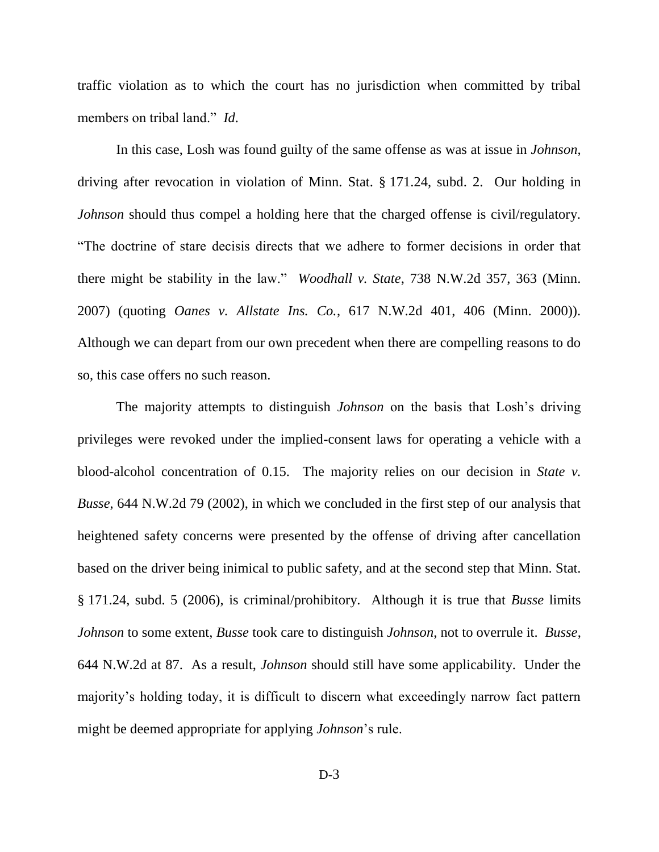traffic violation as to which the court has no jurisdiction when committed by tribal members on tribal land." *Id*.

In this case, Losh was found guilty of the same offense as was at issue in *Johnson*, driving after revocation in violation of Minn. Stat. § 171.24, subd. 2. Our holding in *Johnson* should thus compel a holding here that the charged offense is civil/regulatory. "The doctrine of stare decisis directs that we adhere to former decisions in order that there might be stability in the law." *Woodhall v. State*, 738 N.W.2d 357, 363 (Minn. 2007) (quoting *Oanes v. Allstate Ins. Co.*, 617 N.W.2d 401, 406 (Minn. 2000)). Although we can depart from our own precedent when there are compelling reasons to do so, this case offers no such reason.

The majority attempts to distinguish *Johnson* on the basis that Losh"s driving privileges were revoked under the implied-consent laws for operating a vehicle with a blood-alcohol concentration of 0.15. The majority relies on our decision in *State v. Busse*, 644 N.W.2d 79 (2002), in which we concluded in the first step of our analysis that heightened safety concerns were presented by the offense of driving after cancellation based on the driver being inimical to public safety, and at the second step that Minn. Stat. § 171.24, subd. 5 (2006), is criminal/prohibitory. Although it is true that *Busse* limits *Johnson* to some extent, *Busse* took care to distinguish *Johnson*, not to overrule it. *Busse*, 644 N.W.2d at 87. As a result, *Johnson* should still have some applicability. Under the majority"s holding today, it is difficult to discern what exceedingly narrow fact pattern might be deemed appropriate for applying *Johnson*"s rule.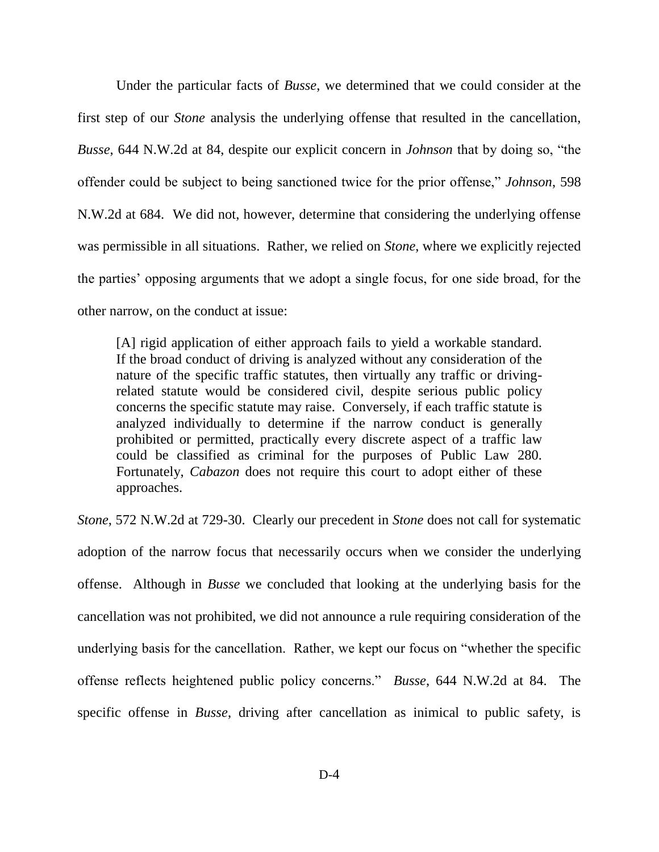Under the particular facts of *Busse*, we determined that we could consider at the first step of our *Stone* analysis the underlying offense that resulted in the cancellation, *Busse*, 644 N.W.2d at 84, despite our explicit concern in *Johnson* that by doing so, "the offender could be subject to being sanctioned twice for the prior offense," *Johnson*, 598 N.W.2d at 684. We did not, however, determine that considering the underlying offense was permissible in all situations. Rather, we relied on *Stone*, where we explicitly rejected the parties" opposing arguments that we adopt a single focus, for one side broad, for the other narrow, on the conduct at issue:

[A] rigid application of either approach fails to yield a workable standard. If the broad conduct of driving is analyzed without any consideration of the nature of the specific traffic statutes, then virtually any traffic or drivingrelated statute would be considered civil, despite serious public policy concerns the specific statute may raise. Conversely, if each traffic statute is analyzed individually to determine if the narrow conduct is generally prohibited or permitted, practically every discrete aspect of a traffic law could be classified as criminal for the purposes of Public Law 280. Fortunately, *Cabazon* does not require this court to adopt either of these approaches.

*Stone*, 572 N.W.2d at 729-30. Clearly our precedent in *Stone* does not call for systematic adoption of the narrow focus that necessarily occurs when we consider the underlying offense. Although in *Busse* we concluded that looking at the underlying basis for the cancellation was not prohibited, we did not announce a rule requiring consideration of the underlying basis for the cancellation. Rather, we kept our focus on "whether the specific offense reflects heightened public policy concerns." *Busse*, 644 N.W.2d at 84. The specific offense in *Busse*, driving after cancellation as inimical to public safety, is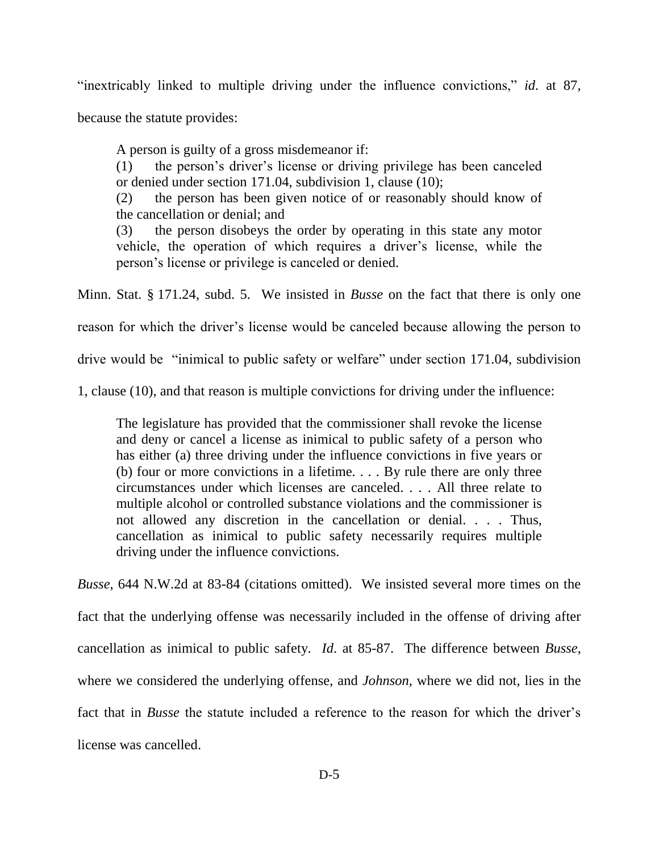"inextricably linked to multiple driving under the influence convictions," *id*. at 87,

because the statute provides:

A person is guilty of a gross misdemeanor if:

(1) the person"s driver"s license or driving privilege has been canceled or denied under section 171.04, subdivision 1, clause (10);

(2) the person has been given notice of or reasonably should know of the cancellation or denial; and

(3) the person disobeys the order by operating in this state any motor vehicle, the operation of which requires a driver"s license, while the person"s license or privilege is canceled or denied.

Minn. Stat. § 171.24, subd. 5. We insisted in *Busse* on the fact that there is only one

reason for which the driver"s license would be canceled because allowing the person to

drive would be "inimical to public safety or welfare" under section 171.04, subdivision

1, clause (10), and that reason is multiple convictions for driving under the influence:

The legislature has provided that the commissioner shall revoke the license and deny or cancel a license as inimical to public safety of a person who has either (a) three driving under the influence convictions in five years or (b) four or more convictions in a lifetime. . . . By rule there are only three circumstances under which licenses are canceled. . . . All three relate to multiple alcohol or controlled substance violations and the commissioner is not allowed any discretion in the cancellation or denial. . . . Thus, cancellation as inimical to public safety necessarily requires multiple driving under the influence convictions.

*Busse*, 644 N.W.2d at 83-84 (citations omitted). We insisted several more times on the fact that the underlying offense was necessarily included in the offense of driving after cancellation as inimical to public safety. *Id*. at 85-87. The difference between *Busse*, where we considered the underlying offense, and *Johnson*, where we did not, lies in the fact that in *Busse* the statute included a reference to the reason for which the driver's license was cancelled.